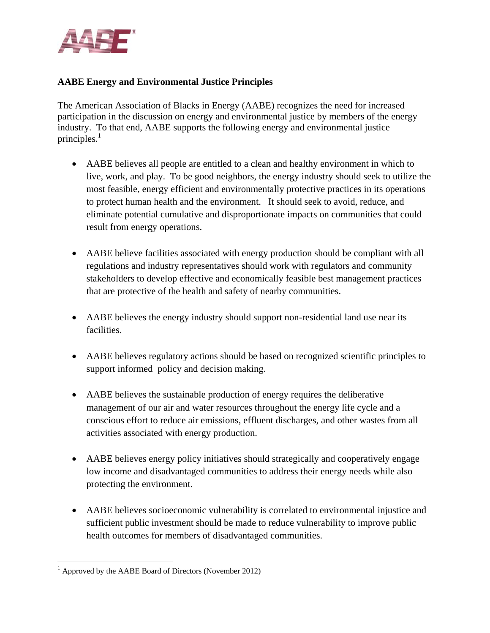

## **AABE Energy and Environmental Justice Principles**

The American Association of Blacks in Energy (AABE) recognizes the need for increased participation in the discussion on energy and environmental justice by members of the energy industry. To that end, AABE supports the following energy and environmental justice principles. 1

- AABE believes all people are entitled to a clean and healthy environment in which to live, work, and play. To be good neighbors, the energy industry should seek to utilize the most feasible, energy efficient and environmentally protective practices in its operations to protect human health and the environment. It should seek to avoid, reduce, and eliminate potential cumulative and disproportionate impacts on communities that could result from energy operations.
- AABE believe facilities associated with energy production should be compliant with all regulations and industry representatives should work with regulators and community stakeholders to develop effective and economically feasible best management practices that are protective of the health and safety of nearby communities.
- AABE believes the energy industry should support non-residential land use near its facilities.
- AABE believes regulatory actions should be based on recognized scientific principles to support informed policy and decision making.
- AABE believes the sustainable production of energy requires the deliberative management of our air and water resources throughout the energy life cycle and a conscious effort to reduce air emissions, effluent discharges, and other wastes from all activities associated with energy production.
- AABE believes energy policy initiatives should strategically and cooperatively engage low income and disadvantaged communities to address their energy needs while also protecting the environment.
- AABE believes socioeconomic vulnerability is correlated to environmental injustice and sufficient public investment should be made to reduce vulnerability to improve public health outcomes for members of disadvantaged communities.

 <sup>1</sup> Approved by the AABE Board of Directors (November 2012)